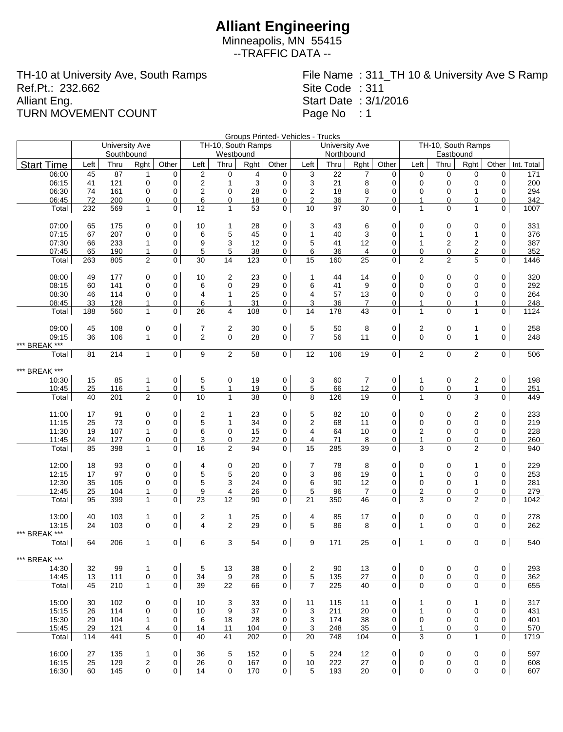Minneapolis, MN 55415 --TRAFFIC DATA --

TH-10 at University Ave, South Ramps Ref.Pt.: 232.662 Alliant Eng. TURN MOVEMENT COUNT

File Name : 311\_TH 10 & University Ave S Ramp Site Code : 311 Start Date : 3/1/2016 Page No : 1

Groups Printed- Vehicles - Trucks

|                   |                |          | <b>University Ave</b><br>Southbound |                   |                     |                     | TH-10, South Ramps<br>Westbound |          |                     |                 | <b>University Ave</b><br>Northbound |                |                | TH-10, South Ramps |                   |                  |                |            |
|-------------------|----------------|----------|-------------------------------------|-------------------|---------------------|---------------------|---------------------------------|----------|---------------------|-----------------|-------------------------------------|----------------|----------------|--------------------|-------------------|------------------|----------------|------------|
| <b>Start Time</b> |                | Left     | Thru                                | Rght              | Other               | Left                | Thru                            | Rght     | Other               | Left            | Thru                                | Rght           | Other          | Left               | Eastbound<br>Thru | Rght             | Other          | Int. Total |
|                   | 06:00          | 45       | 87                                  | 1                 | $\mathbf 0$         | $\overline{2}$      | 0                               | 4        | 0                   | 3               | 22                                  | 7              | 0              | 0                  | $\mathbf 0$       | 0                | 0              | 171        |
|                   | 06:15          | 41       | 121                                 | 0                 | $\mathbf 0$         | $\overline{2}$      | $\mathbf{1}$                    | 3        | $\mathbf 0$         | 3               | 21                                  | 8              | 0              | $\mathbf 0$        | 0                 | 0                | 0              | 200        |
|                   | 06:30          | 74       | 161                                 | 0                 | $\mathbf 0$         | $\boldsymbol{2}$    | 0                               | 28       | $\mathbf 0$         | $\overline{2}$  | 18                                  | 8              | 0              | $\mathbf 0$        | 0                 | $\mathbf{1}$     | 0              | 294        |
|                   | 06:45          | 72       | 200                                 | 0                 | $\mathbf 0$         | 6                   | 0                               | 18       | 0                   | $\overline{2}$  | 36                                  | $\overline{7}$ | 0              | 1                  | 0                 | 0                | 0              | 342        |
|                   | Total          | 232      | 569                                 | $\mathbf{1}$      | $\mathbf 0$         | 12                  | $\mathbf{1}$                    | 53       | $\mathbf 0$         | 10              | 97                                  | 30             | $\mathbf 0$    | $\mathbf{1}$       | $\mathbf{0}$      | $\mathbf{1}$     | 0              | 1007       |
|                   | 07:00          | 65       | 175                                 | 0                 | $\mathbf 0$         | 10                  | 1                               | 28       | 0                   | 3               | 43                                  | 6              | 0              | 0                  | 0                 | 0                | $\mathbf 0$    | 331        |
|                   | 07:15          | 67       | 207                                 | 0                 | $\mathbf 0$         | 6                   | 5                               | 45       | 0                   | $\mathbf{1}$    | 40                                  | 3              | 0              | 1                  | 0                 | $\mathbf{1}$     | 0              | 376        |
|                   | 07:30          | 66       | 233                                 | $\mathbf{1}$      | $\mathbf 0$         | 9                   | 3                               | 12       | 0                   | 5               | 41                                  | 12             | 0              | $\mathbf{1}$       | 2                 | $\overline{c}$   | 0              | 387        |
|                   | 07:45          | 65       | 190                                 | $\mathbf{1}$      | 0                   | 5                   | 5                               | 38       | 0                   | 6               | 36                                  | 4              | 0              | 0                  | 0                 | 2                | 0              | 352        |
|                   | Total          | 263      | 805                                 | $\overline{2}$    | $\mathbf{0}$        | 30                  | 14                              | 123      | $\mathbf 0$         | 15              | 160                                 | 25             | $\mathbf 0$    | 2                  | $\overline{2}$    | 5                | 0              | 1446       |
|                   | 08:00          |          |                                     |                   |                     |                     |                                 |          | $\mathbf 0$         |                 |                                     |                |                |                    |                   |                  |                |            |
|                   | 08:15          | 49<br>60 | 177<br>141                          | 0<br>0            | 0<br>$\mathbf 0$    | 10<br>6             | 2<br>0                          | 23<br>29 | 0                   | 1<br>6          | 44<br>41                            | 14<br>9        | 0<br>0         | 0<br>$\mathbf 0$   | 0<br>0            | 0<br>0           | 0<br>0         | 320<br>292 |
|                   | 08:30          | 46       | 114                                 | $\Omega$          | $\mathbf 0$         | $\overline{4}$      | $\mathbf{1}$                    | 25       | 0                   | 4               | 57                                  | 13             | 0              | $\mathbf 0$        | 0                 | 0                | 0              | 264        |
|                   | 08:45          | 33       | 128                                 | 1                 | $\mathbf 0$         | 6                   | $\mathbf{1}$                    | 31       | 0                   | 3               | 36                                  | $\overline{7}$ | 0              | $\mathbf{1}$       | 0                 | $\mathbf{1}$     | 0              | 248        |
|                   | Total          | 188      | 560                                 | $\mathbf{1}$      | $\mathbf 0$         | 26                  | $\overline{4}$                  | 108      | $\overline{0}$      | 14              | 178                                 | 43             | $\mathbf 0$    | $\mathbf{1}$       | 0                 | $\mathbf{1}$     | 0              | 1124       |
|                   |                |          |                                     |                   |                     |                     |                                 |          |                     |                 |                                     |                |                |                    |                   |                  |                |            |
|                   | 09:00          | 45       | 108                                 | 0                 | 0                   | 7                   | $\overline{c}$                  | 30       | 0                   | 5               | 50                                  | 8              | 0              | 2                  | 0                 | 1                | 0              | 258        |
|                   | 09:15          | 36       | 106                                 | $\mathbf{1}$      | $\mathbf{0}$        | $\overline{2}$      | $\mathbf 0$                     | 28       | 0                   | $\overline{7}$  | 56                                  | 11             | 0              | $\mathbf 0$        | $\mathbf 0$       | $\mathbf{1}$     | 0              | 248        |
| *** BREAK ***     | Total          | 81       | 214                                 | $\mathbf{1}$      | $\overline{0}$      | 9                   | $\overline{2}$                  | 58       | 0                   | 12              | 106                                 | 19             | 0              | $\mathbf{2}$       | $\mathbf 0$       | $\overline{2}$   | 0              | 506        |
|                   |                |          |                                     |                   |                     |                     |                                 |          |                     |                 |                                     |                |                |                    |                   |                  |                |            |
| *** BREAK ***     |                |          |                                     |                   |                     |                     |                                 |          |                     |                 |                                     |                |                |                    |                   |                  |                |            |
|                   | 10:30          | 15       | 85                                  | $\mathbf{1}$      | $\mathbf 0$         | 5                   | 0                               | 19       | 0                   | 3               | 60                                  | $\overline{7}$ | 0              | $\mathbf{1}$       | 0                 | $\overline{c}$   | 0              | 198        |
|                   | 10:45          | 25       | 116                                 | 1                 | $\mathbf 0$         | 5                   | $\mathbf{1}$                    | 19       | 0                   | $5\overline{)}$ | 66                                  | 12             | 0              | 0                  | 0                 | $\mathbf{1}$     | 0              | 251        |
|                   | Total          | 40       | 201                                 | $\overline{2}$    | $\mathbf 0$         | 10                  | $\mathbf{1}$                    | 38       | $\mathbf 0$         | 8               | 126                                 | 19             | 0              | $\mathbf{1}$       | $\mathbf{0}$      | 3                | 0              | 449        |
|                   | 11:00          | 17       | 91                                  | 0                 | $\mathbf 0$         | 2                   | 1                               | 23       | 0                   | 5               | 82                                  | 10             | 0              | 0                  | 0                 | 2                | 0              | 233        |
|                   | 11:15          | 25       | 73                                  | 0                 | $\mathbf 0$         | 5                   | $\mathbf{1}$                    | 34       | 0                   | $\overline{2}$  | 68                                  | 11             | 0              | 0                  | 0                 | $\mathbf 0$      | 0              | 219        |
|                   | 11:30          | 19       | 107                                 | $\mathbf{1}$      | $\mathbf 0$         | 6                   | 0                               | 15       | 0                   | 4               | 64                                  | 10             | 0              | $\overline{2}$     | 0                 | 0                | 0              | 228        |
|                   | 11:45          | 24       | 127                                 | 0                 | $\mathbf 0$         | 3                   | 0                               | 22       | 0                   | 4               | 71                                  | 8              | 0              | 1                  | 0                 | 0                | 0              | 260        |
|                   | Total          | 85       | 398                                 | $\mathbf{1}$      | $\mathbf 0$         | 16                  | $\overline{2}$                  | 94       | $\mathbf 0$         | 15              | 285                                 | 39             | $\overline{0}$ | 3                  | $\mathbf{0}$      | $\overline{2}$   | 0              | 940        |
|                   | 12:00          | 18       | 93                                  | 0                 | $\mathbf 0$         | 4                   | 0                               | 20       | 0                   | 7               | 78                                  | 8              | 0              | 0                  | 0                 | 1                | 0              | 229        |
|                   | 12:15          | 17       | 97                                  | 0                 | $\mathbf 0$         | 5                   | 5                               | 20       | 0                   | 3               | 86                                  | 19             | 0              | $\mathbf{1}$       | 0                 | $\mathbf 0$      | $\mathbf 0$    | 253        |
|                   | 12:30          | 35       | 105                                 | 0                 | $\mathbf 0$         | 5                   | 3                               | 24       | 0                   | 6               | 90                                  | 12             | 0              | $\mathbf 0$        | 0                 | $\mathbf{1}$     | 0              | 281        |
|                   | 12:45          | 25       | 104                                 | 1                 | $\mathbf 0$         | 9                   | $\overline{4}$                  | 26       | 0                   | 5               | 96                                  | $\overline{7}$ | 0              | $\overline{2}$     | 0                 | 0                | 0              | 279        |
|                   | Total          | 95       | 399                                 | $\mathbf{1}$      | $\mathbf 0$         | 23                  | 12                              | 90       | 0                   | 21              | 350                                 | 46             | $\overline{0}$ | 3                  | 0                 | 2                | 0              | 1042       |
|                   | 13:00          | 40       | 103                                 | 1                 | 0                   |                     | $\mathbf{1}$                    | 25       | 0                   | 4               | 85                                  | 17             | 0              | 0                  | 0                 | 0                | 0              | 278        |
|                   | 13:15          | 24       | 103                                 | $\mathbf 0$       | $\mathbf{0}$        | 2<br>$\overline{4}$ | $\overline{2}$                  | 29       | $\overline{0}$      | 5               | 86                                  | 8              | 0              | $\mathbf{1}$       | 0                 | $\mathbf 0$      | 0              | 262        |
| *** BREAK ***     |                |          |                                     |                   |                     |                     |                                 |          |                     |                 |                                     |                |                |                    |                   |                  |                |            |
|                   | Total          | 64       | 206                                 | $\mathbf{1}$      | $\mathbf 0$         | 6                   | 3                               | 54       | 0 <sup>1</sup>      | 9               | 171                                 | 25             | 0 <sup>1</sup> | $\mathbf{1}$       | $\mathbf 0$       | $\mathbf 0$      | 0 <sup>1</sup> | 540        |
| *** BREAK         |                |          |                                     |                   |                     |                     |                                 |          |                     |                 |                                     |                |                |                    |                   |                  |                |            |
|                   | 14:30          | 32       | 99                                  | $\mathbf{1}$      | 0                   | 5                   | 13                              | 38       | $\mathbf 0$         | 2               | 90                                  | 13             | 0              | 0                  | 0                 | 0                | 0              | 293        |
|                   | 14:45          | 13       | $111$                               | 0                 | $\overline{0}$      | 34                  | 9                               | 28       | 0                   | $5\phantom{.0}$ | <u>135</u>                          | 27             | 0              | 0                  | 0                 | 0                | 0              | 362        |
|                   | Total          | 45       | 210                                 | $\mathbf{1}$      | $\mathbf 0$         | 39                  | 22                              | 66       | 0 <sup>1</sup>      | $\overline{7}$  | 225                                 | 40             | $\mathbf 0$    | $\mathbf 0$        | $\Omega$          | $\Omega$         | 0              | 655        |
|                   |                |          |                                     |                   |                     |                     |                                 |          |                     |                 |                                     |                |                |                    |                   |                  |                |            |
|                   | 15:00          | 30       | 102                                 | 0                 | 0<br>$\mathbf 0$    | 10                  | 3                               | 33       | $\mathbf 0$<br>0    | 11              | 115<br>211                          | 11             | 0              | 1<br>$\mathbf{1}$  | 0<br>0            | 1<br>$\mathbf 0$ | 0<br>0         | 317        |
|                   | 15:15<br>15:30 | 26<br>29 | 114<br>104                          | 0<br>$\mathbf{1}$ | 0                   | 10<br>6             | 9<br>18                         | 37<br>28 | 0                   | 3<br>3          | 174                                 | 20<br>38       | 0<br>0         | 0                  | 0                 | 0                | 0              | 431<br>401 |
|                   | 15:45          | 29       | 121                                 | 4                 | $\mathbf 0$         | 14                  | 11                              | 104      | $\mathbf 0$         | 3               | 248                                 | 35             | 0              | 1                  | 0                 | 0                | 0              | 570        |
|                   | Total          | 114      | 441                                 | 5                 | $\mathsf{O}\xspace$ | 40                  | 41                              | 202      | $\overline{0}$      | 20              | 748                                 | 104            | 0 <sup>1</sup> | 3                  | 0                 | $\mathbf{1}$     | 0              | 1719       |
|                   |                |          |                                     |                   |                     |                     |                                 |          |                     |                 |                                     |                |                |                    |                   |                  |                |            |
|                   | 16:00          | 27       | 135                                 | 1                 | 0                   | 36                  | 5                               | 152      | $\mathsf{O}\xspace$ | 5               | 224                                 | 12             | $\mathbf 0$    | 0                  | 0                 | 0                | 0              | 597        |
|                   | 16:15          | 25       | 129                                 | $\overline{c}$    | $\mathbf 0$         | 26                  | 0                               | 167      | $\mathbf 0$         | 10              | 222                                 | 27             | 0              | 0                  | 0                 | 0                | 0              | 608        |
|                   | 16:30          | 60       | 145                                 | 0                 | $\mathbf 0$         | 14                  | 0                               | 170      | 0                   | $\,$ 5 $\,$     | 193                                 | 20             | 0              | 0                  | 0                 | 0                | 0              | 607        |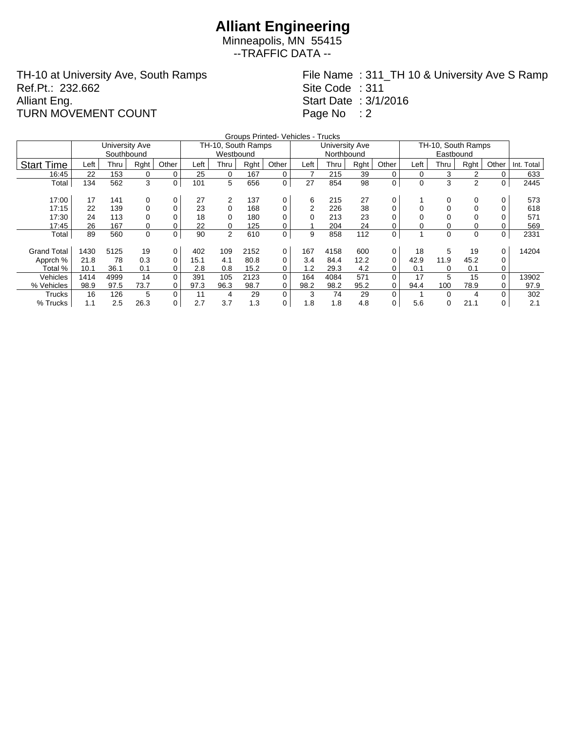Minneapolis, MN 55415 --TRAFFIC DATA --

TH-10 at University Ave, South Ramps Ref.Pt.: 232.662 Alliant Eng. TURN MOVEMENT COUNT

File Name : 311\_TH 10 & University Ave S Ramp Site Code : 311 Start Date : 3/1/2016 Page No : 2

|                    |      |                |      |       |      |                    |      | Groups Printed- Vehicles - Trucks |                |                |      |          |                    |      |      |          |            |
|--------------------|------|----------------|------|-------|------|--------------------|------|-----------------------------------|----------------|----------------|------|----------|--------------------|------|------|----------|------------|
|                    |      | University Ave |      |       |      | TH-10, South Ramps |      |                                   |                | University Ave |      |          | TH-10, South Ramps |      |      |          |            |
|                    |      | Southbound     |      |       |      | Westbound          |      |                                   |                | Northbound     |      |          |                    |      |      |          |            |
| <b>Start Time</b>  | Left | Thru           | Rght | Other | Left | Thru               | Rght | Other                             | Left           | Thru           | Rght | Other    | Left               | Thru | Rght | Other    | Int. Total |
| 16:45              | 22   | 153            | 0    | 0     | 25   | 0                  | 167  | 0                                 |                | 215            | 39   | $\Omega$ | 0                  | 3    | 2    |          | 633        |
| Total              | 134  | 562            | 3    | 0     | 101  | 5                  | 656  | 0                                 | 27             | 854            | 98   | 0        | 0                  | 3    | 2    | 0        | 2445       |
|                    |      |                |      |       |      |                    |      |                                   |                |                |      |          |                    |      |      |          |            |
| 17:00              | 17   | 141            | 0    | 0     | 27   | 2                  | 137  | 0                                 | 6              | 215            | 27   | 0        |                    |      | 0    | 0        | 573        |
| 17:15              | 22   | 139            | 0    | 0     | 23   | 0                  | 168  | 0                                 | $\overline{2}$ | 226            | 38   |          |                    |      |      |          | 618        |
| 17:30              | 24   | 113            | 0    | 0     | 18   | 0                  | 180  | 0                                 |                | 213            | 23   |          |                    |      |      |          | 571        |
| 17:45              | 26   | 167            | 0    | 0     | 22   | 0                  | 125  | 0                                 |                | 204            | 24   |          |                    |      |      |          | 569        |
| Total              | 89   | 560            | 0    | 0     | 90   | 2                  | 610  | 0                                 | 9              | 858            | 112  | 0        |                    | 0    | 0    | 0        | 2331       |
|                    |      |                |      |       |      |                    |      |                                   |                |                |      |          |                    |      |      |          |            |
| <b>Grand Total</b> | 1430 | 5125           | 19   | 0     | 402  | 109                | 2152 | 0                                 | 167            | 4158           | 600  | 0        | 18                 | 5    | 19   | 0        | 14204      |
| Apprch %           | 21.8 | 78             | 0.3  | 0     | 15.1 | 4.1                | 80.8 | 0                                 | 3.4            | 84.4           | 12.2 | $\Omega$ | 42.9               | 11.9 | 45.2 | 0        |            |
| Total %            | 10.1 | 36.1           | 0.1  | 0     | 2.8  | 0.8                | 15.2 | 0                                 | 1.2            | 29.3           | 4.2  | 0        | 0.1                | 0    | 0.1  | 0        |            |
| Vehicles           | 1414 | 4999           | 14   | 0     | 391  | 105                | 2123 | 0                                 | 164            | 4084           | 571  |          | 17                 | 5    | 15   | $\Omega$ | 13902      |
| % Vehicles         | 98.9 | 97.5           | 73.7 | 0     | 97.3 | 96.3               | 98.7 | 0                                 | 98.2           | 98.2           | 95.2 |          | 94.4               | 100  | 78.9 | 0        | 97.9       |
| Trucks             | 16   | 126            | 5    | 0     | 11   | 4                  | 29   | 0                                 | 3              | 74             | 29   | $\Omega$ |                    |      | 4    |          | 302        |
| % Trucks           | 1.1  | 2.5            | 26.3 | 0     | 2.7  | 3.7                | 1.3  | 0                                 | 1.8            | 1.8            | 4.8  | 0        | 5.6                | 0    | 21.1 | 0        | 2.1        |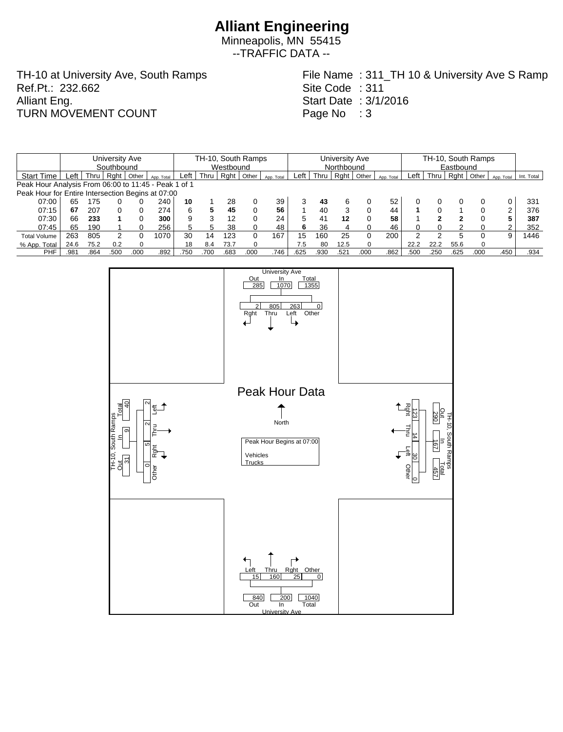Minneapolis, MN 55415 --TRAFFIC DATA --

TH-10 at University Ave, South Ramps Ref.Pt.: 232.662 Alliant Eng. TURN MOVEMENT COUNT

File Name : 311\_TH 10 & University Ave S Ramp Site Code : 311 Start Date : 3/1/2016 Page No : 3

|                                                      |      |      | University Ave |      |            | TH-10, South Ramps |      |      |       |            |            | University Ave |      |       |            |      | TH-10, South Ramps |      |          |            |            |  |
|------------------------------------------------------|------|------|----------------|------|------------|--------------------|------|------|-------|------------|------------|----------------|------|-------|------------|------|--------------------|------|----------|------------|------------|--|
|                                                      |      |      | Southbound     |      |            | Westbound          |      |      |       |            | Northbound |                |      |       |            |      | Eastbound          |      |          |            |            |  |
| <b>Start Time</b>                                    | Left | Thru | Rght   Other   |      | App. Total | Left               | Thru | Rght | Other | App. Total | Left       | Thru           | Rght | Other | App. Total | Left | Thru               | Rght | Other    | App. Total | Int. Total |  |
| Peak Hour Analysis From 06:00 to 11:45 - Peak 1 of 1 |      |      |                |      |            |                    |      |      |       |            |            |                |      |       |            |      |                    |      |          |            |            |  |
| Peak Hour for Entire Intersection Begins at 07:00    |      |      |                |      |            |                    |      |      |       |            |            |                |      |       |            |      |                    |      |          |            |            |  |
| 07:00                                                | 65   | 175  |                |      | 240        | 10                 |      | 28   |       | 39         |            | 43             |      |       | 52         |      |                    |      |          |            | 331        |  |
| 07:15                                                | 67   | 207  | 0              |      | 274        | 6                  | 5    | 45   |       | 56         |            | 40             |      |       | 44         |      |                    |      |          | 2          | 376        |  |
| 07:30                                                | 66   | 233  |                |      | 300        | 9                  | 3    | 12   |       | 24         | 5          | 41             | 12   |       | 58         |      | າ                  | າ    |          | 5          | 387        |  |
| 07:45                                                | 65   | 190  |                |      | 256        | 5                  | 5    | 38   |       | 48         | 6          | 36             |      |       | 46         |      |                    |      |          | c          | 352        |  |
| <b>Total Volume</b>                                  | 263  | 805  | 2              |      | 1070       | 30                 | 14   | 123  |       | 167        | 15         | 160            | 25   |       | 200        |      |                    |      |          | a          | 1446       |  |
| % App. Total                                         | 24.6 | 75.2 | 0.2            |      |            | 18                 | 8.4  | 73.7 |       |            | 7.5        | 80             | 12.5 | 0     |            | 22.2 | 22.2               | 55.6 | $\Omega$ |            |            |  |
| PHF                                                  | .981 | .864 | .500           | .000 | .892       | .750               | .700 | .683 | .000  | .746       | .625       | .930           | .521 | .000  | .862       | .500 | .250               | .625 | .000     | .450       | .934       |  |